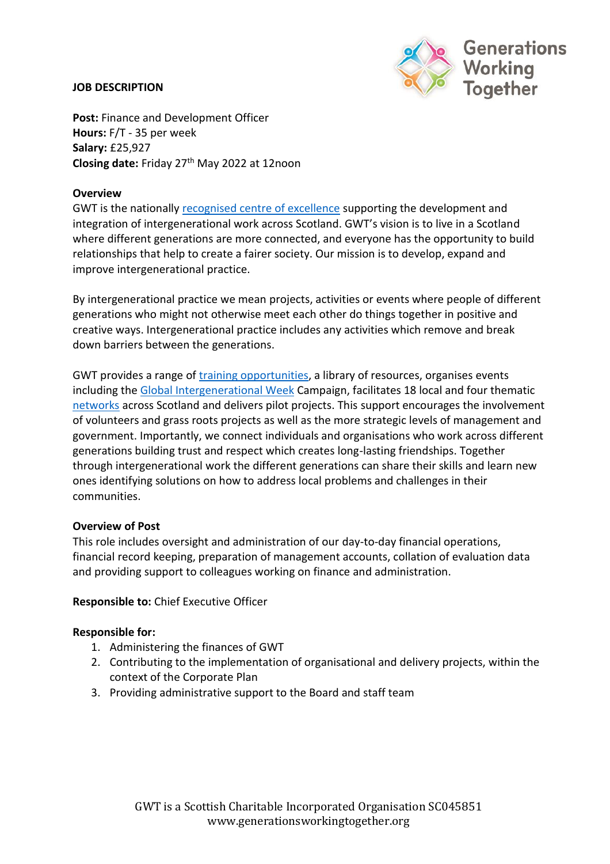### **JOB DESCRIPTION**



**Post:** Finance and Development Officer **Hours:** F/T - 35 per week **Salary:** £25,927 **Closing date:** Friday 27th May 2022 at 12noon

### **Overview**

GWT is the nationall[y recognised centre of excellence](https://generationsworkingtogether.org/about/history) supporting the development and integration of intergenerational work across Scotland. GWT's vision is to live in a Scotland where different generations are more connected, and everyone has the opportunity to build relationships that help to create a fairer society. Our mission is to develop, expand and improve intergenerational practice.

By intergenerational practice we mean projects, activities or events where people of different generations who might not otherwise meet each other do things together in positive and creative ways. Intergenerational practice includes any activities which remove and break down barriers between the generations.

GWT provides a range of [training opportunities,](https://generationsworkingtogether.org/training) a library of resources, organises events including the [Global Intergenerational Week](https://generationsworkingtogether.org/global-intergenerational-week) Campaign, facilitates 18 local and four thematic [networks](https://generationsworkingtogether.org/networks) across Scotland and delivers pilot projects. This support encourages the involvement of volunteers and grass roots projects as well as the more strategic levels of management and government. Importantly, we connect individuals and organisations who work across different generations building trust and respect which creates long-lasting friendships. Together through intergenerational work the different generations can share their skills and learn new ones identifying solutions on how to address local problems and challenges in their communities.

#### **Overview of Post**

This role includes oversight and administration of our day-to-day financial operations, financial record keeping, preparation of management accounts, collation of evaluation data and providing support to colleagues working on finance and administration.

#### **Responsible to:** Chief Executive Officer

#### **Responsible for:**

- 1. Administering the finances of GWT
- 2. Contributing to the implementation of organisational and delivery projects, within the context of the Corporate Plan
- 3. Providing administrative support to the Board and staff team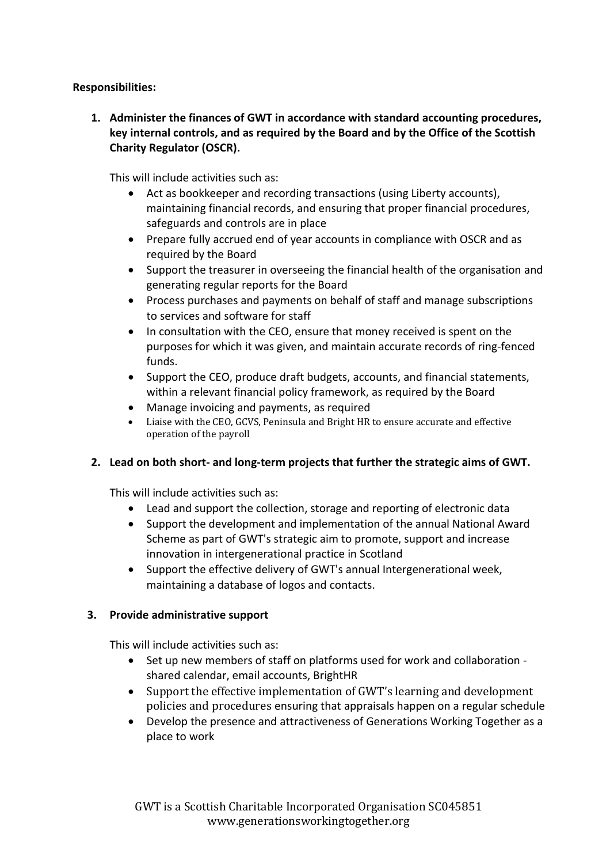## **Responsibilities:**

**1. Administer the finances of GWT in accordance with standard accounting procedures, key internal controls, and as required by the Board and by the Office of the Scottish Charity Regulator (OSCR).**

This will include activities such as:

- Act as bookkeeper and recording transactions (using Liberty accounts), maintaining financial records, and ensuring that proper financial procedures, safeguards and controls are in place
- Prepare fully accrued end of year accounts in compliance with OSCR and as required by the Board
- Support the treasurer in overseeing the financial health of the organisation and generating regular reports for the Board
- Process purchases and payments on behalf of staff and manage subscriptions to services and software for staff
- In consultation with the CEO, ensure that money received is spent on the purposes for which it was given, and maintain accurate records of ring-fenced funds.
- Support the CEO, produce draft budgets, accounts, and financial statements, within a relevant financial policy framework, as required by the Board
- Manage invoicing and payments, as required
- Liaise with the CEO, GCVS, Peninsula and Bright HR to ensure accurate and effective operation of the payroll

# **2. Lead on both short- and long-term projects that further the strategic aims of GWT.**

This will include activities such as:

- Lead and support the collection, storage and reporting of electronic data
- Support the development and implementation of the annual National Award Scheme as part of GWT's strategic aim to promote, support and increase innovation in intergenerational practice in Scotland
- Support the effective delivery of GWT's annual Intergenerational week, maintaining a database of logos and contacts.

# **3. Provide administrative support**

This will include activities such as:

- Set up new members of staff on platforms used for work and collaboration shared calendar, email accounts, BrightHR
- Support the effective implementation of GWT's learning and development policies and procedures ensuring that appraisals happen on a regular schedule
- Develop the presence and attractiveness of Generations Working Together as a place to work